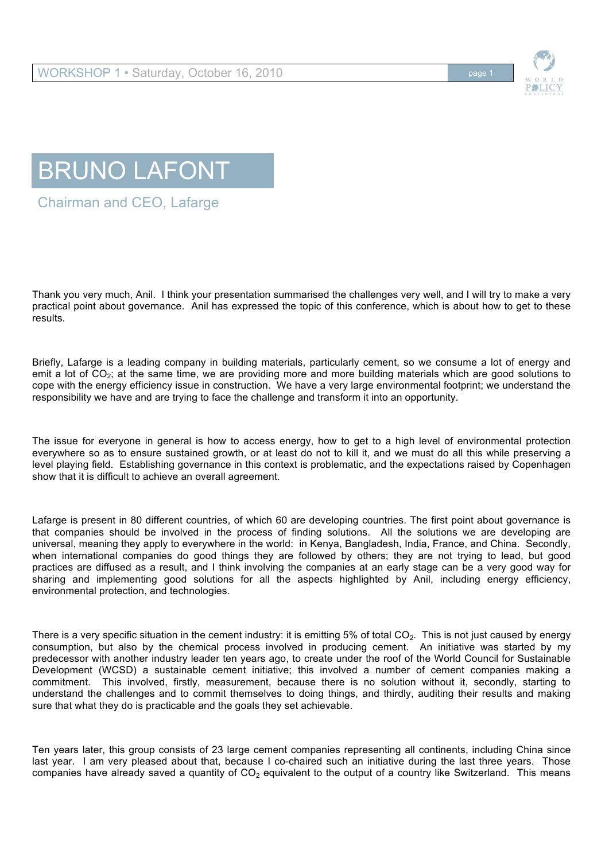





Chairman and CEO, Lafarge

Thank you very much, Anil. I think your presentation summarised the challenges very well, and I will try to make a very practical point about governance. Anil has expressed the topic of this conference, which is about how to get to these results.

Briefly, Lafarge is a leading company in building materials, particularly cement, so we consume a lot of energy and emit a lot of CO<sub>2</sub>; at the same time, we are providing more and more building materials which are good solutions to cope with the energy efficiency issue in construction. We have a very large environmental footprint; we understand the responsibility we have and are trying to face the challenge and transform it into an opportunity.

The issue for everyone in general is how to access energy, how to get to a high level of environmental protection everywhere so as to ensure sustained growth, or at least do not to kill it, and we must do all this while preserving a level playing field. Establishing governance in this context is problematic, and the expectations raised by Copenhagen show that it is difficult to achieve an overall agreement.

Lafarge is present in 80 different countries, of which 60 are developing countries. The first point about governance is that companies should be involved in the process of finding solutions. All the solutions we are developing are universal, meaning they apply to everywhere in the world: in Kenya, Bangladesh, India, France, and China. Secondly, when international companies do good things they are followed by others; they are not trying to lead, but good practices are diffused as a result, and I think involving the companies at an early stage can be a very good way for sharing and implementing good solutions for all the aspects highlighted by Anil, including energy efficiency, environmental protection, and technologies.

There is a very specific situation in the cement industry: it is emitting 5% of total  $CO<sub>2</sub>$ . This is not just caused by energy consumption, but also by the chemical process involved in producing cement. An initiative was started by my predecessor with another industry leader ten years ago, to create under the roof of the World Council for Sustainable Development (WCSD) a sustainable cement initiative; this involved a number of cement companies making a commitment. This involved, firstly, measurement, because there is no solution without it, secondly, starting to understand the challenges and to commit themselves to doing things, and thirdly, auditing their results and making sure that what they do is practicable and the goals they set achievable.

Ten years later, this group consists of 23 large cement companies representing all continents, including China since last year. I am very pleased about that, because I co-chaired such an initiative during the last three years. Those companies have already saved a quantity of  $CO<sub>2</sub>$  equivalent to the output of a country like Switzerland. This means